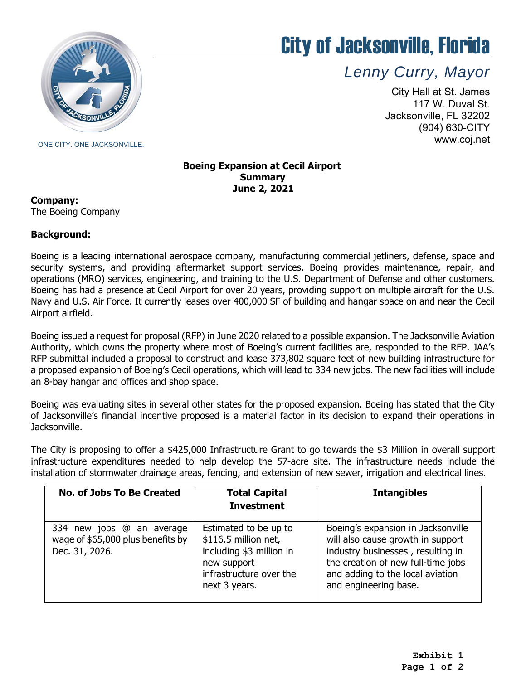

# City of Jacksonville, Florida

*Lenny Curry, Mayor* 

City Hall at St. James 117 W. Duval St. Jacksonville, FL 32202 (904) 630-CITY www.coj.net

#### **Boeing Expansion at Cecil Airport Summary June 2, 2021**

**Company:**

The Boeing Company

## **Background:**

 security systems, and providing aftermarket support services. Boeing provides maintenance, repair, and Boeing has had a presence at Cecil Airport for over 20 years, providing support on multiple aircraft for the U.S. Navy and U.S. Air Force. It currently leases over 400,000 SF of building and hangar space on and near the Cecil Boeing is a leading international aerospace company, manufacturing commercial jetliners, defense, space and operations (MRO) services, engineering, and training to the U.S. Department of Defense and other customers. Airport airfield.

 Authority, which owns the property where most of Boeing's current facilities are, responded to the RFP. JAA's Boeing issued a request for proposal (RFP) in June 2020 related to a possible expansion. The Jacksonville Aviation RFP submittal included a proposal to construct and lease 373,802 square feet of new building infrastructure for a proposed expansion of Boeing's Cecil operations, which will lead to 334 new jobs. The new facilities will include an 8-bay hangar and offices and shop space.

 of Jacksonville's financial incentive proposed is a material factor in its decision to expand their operations in Boeing was evaluating sites in several other states for the proposed expansion. Boeing has stated that the City Jacksonville.

 infrastructure expenditures needed to help develop the 57-acre site. The infrastructure needs include the The City is proposing to offer a \$425,000 Infrastructure Grant to go towards the \$3 Million in overall support installation of stormwater drainage areas, fencing, and extension of new sewer, irrigation and electrical lines.

| No. of Jobs To Be Created                                                        | <b>Total Capital</b><br><b>Investment</b>                                                                                            | <b>Intangibles</b>                                                                                                                                                                                              |
|----------------------------------------------------------------------------------|--------------------------------------------------------------------------------------------------------------------------------------|-----------------------------------------------------------------------------------------------------------------------------------------------------------------------------------------------------------------|
| 334 new jobs @ an average<br>wage of \$65,000 plus benefits by<br>Dec. 31, 2026. | Estimated to be up to<br>\$116.5 million net,<br>including \$3 million in<br>new support<br>infrastructure over the<br>next 3 years. | Boeing's expansion in Jacksonville<br>will also cause growth in support<br>industry businesses, resulting in<br>the creation of new full-time jobs<br>and adding to the local aviation<br>and engineering base. |